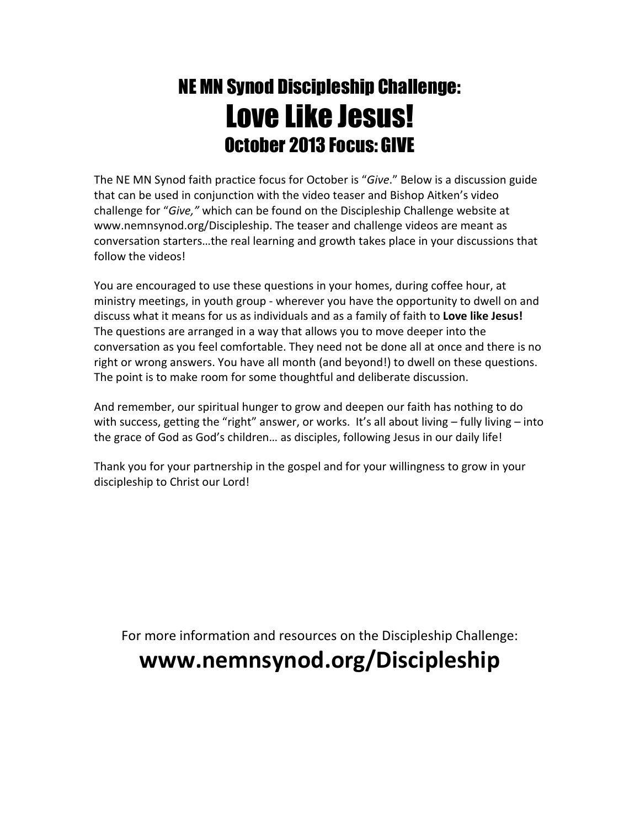# NE MN Synod Discipleship Challenge: Love Like Jesus! October 2013 Focus: GIVE

The NE MN Synod faith practice focus for October is "Give." Below is a discussion guide that can be used in conjunction with the video teaser and Bishop Aitken's video challenge for "Give," which can be found on the Discipleship Challenge website at www.nemnsynod.org/Discipleship. The teaser and challenge videos are meant as conversation starters…the real learning and growth takes place in your discussions that follow the videos!

You are encouraged to use these questions in your homes, during coffee hour, at ministry meetings, in youth group - wherever you have the opportunity to dwell on and discuss what it means for us as individuals and as a family of faith to Love like Jesus! The questions are arranged in a way that allows you to move deeper into the conversation as you feel comfortable. They need not be done all at once and there is no right or wrong answers. You have all month (and beyond!) to dwell on these questions. The point is to make room for some thoughtful and deliberate discussion.

And remember, our spiritual hunger to grow and deepen our faith has nothing to do with success, getting the "right" answer, or works. It's all about living - fully living - into the grace of God as God's children… as disciples, following Jesus in our daily life!

Thank you for your partnership in the gospel and for your willingness to grow in your discipleship to Christ our Lord!

For more information and resources on the Discipleship Challenge:

## www.nemnsynod.org/Discipleship